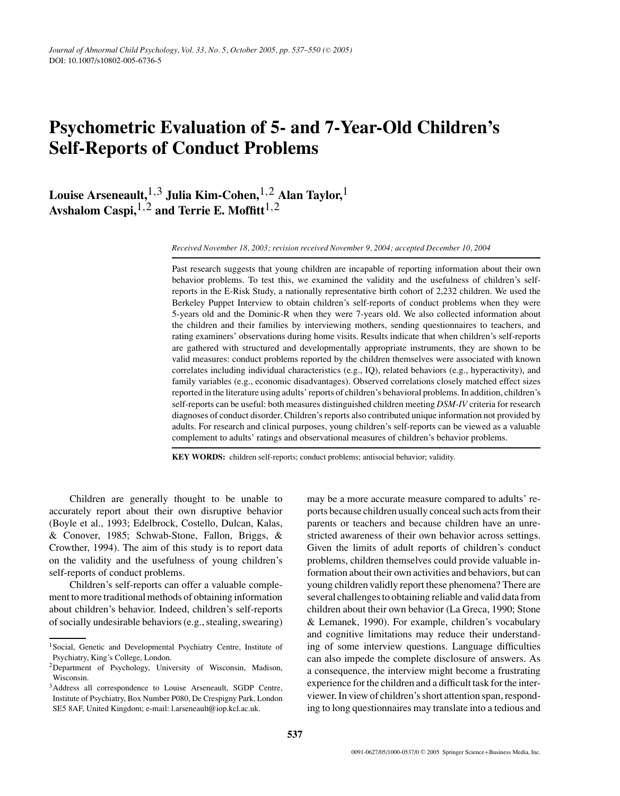# **Psychometric Evaluation of 5- and 7-Year-Old Children's Self-Reports of Conduct Problems**

**Louise Arseneault,**1*,*3 **Julia Kim-Cohen,**1*,*2 **Alan Taylor,**1 **Avshalom Caspi,**1*,*2 **and Terrie E. Moffitt**1*,*2

*Received November 18, 2003; revision received November 9, 2004; accepted December 10, 2004*

Past research suggests that young children are incapable of reporting information about their own behavior problems. To test this, we examined the validity and the usefulness of children's selfreports in the E-Risk Study, a nationally representative birth cohort of 2,232 children. We used the Berkeley Puppet Interview to obtain children's self-reports of conduct problems when they were 5-years old and the Dominic-R when they were 7-years old. We also collected information about the children and their families by interviewing mothers, sending questionnaires to teachers, and rating examiners' observations during home visits. Results indicate that when children's self-reports are gathered with structured and developmentally appropriate instruments, they are shown to be valid measures: conduct problems reported by the children themselves were associated with known correlates including individual characteristics (e.g., IQ), related behaviors (e.g., hyperactivity), and family variables (e.g., economic disadvantages). Observed correlations closely matched effect sizes reported in the literature using adults' reports of children's behavioral problems. In addition, children's self-reports can be useful: both measures distinguished children meeting *DSM-IV* criteria for research diagnoses of conduct disorder. Children's reports also contributed unique information not provided by adults. For research and clinical purposes, young children's self-reports can be viewed as a valuable complement to adults' ratings and observational measures of children's behavior problems.

**KEY WORDS:** children self-reports; conduct problems; antisocial behavior; validity.

Children are generally thought to be unable to accurately report about their own disruptive behavior (Boyle et al., 1993; Edelbrock, Costello, Dulcan, Kalas, & Conover, 1985; Schwab-Stone, Fallon, Briggs, & Crowther, 1994). The aim of this study is to report data on the validity and the usefulness of young children's self-reports of conduct problems.

Children's self-reports can offer a valuable complement to more traditional methods of obtaining information about children's behavior. Indeed, children's self-reports of socially undesirable behaviors (e.g., stealing, swearing)

may be a more accurate measure compared to adults' reports because children usually conceal such acts from their parents or teachers and because children have an unrestricted awareness of their own behavior across settings. Given the limits of adult reports of children's conduct problems, children themselves could provide valuable information about their own activities and behaviors, but can young children validly report these phenomena? There are several challenges to obtaining reliable and valid data from children about their own behavior (La Greca, 1990; Stone & Lemanek, 1990). For example, children's vocabulary and cognitive limitations may reduce their understanding of some interview questions. Language difficulties can also impede the complete disclosure of answers. As a consequence, the interview might become a frustrating experience for the children and a difficult task for the interviewer. In view of children's short attention span, responding to long questionnaires may translate into a tedious and

<sup>&</sup>lt;sup>1</sup>Social, Genetic and Developmental Psychiatry Centre, Institute of Psychiatry, King's College, London.

<sup>2</sup>Department of Psychology, University of Wisconsin, Madison, Wisconsin.

<sup>3</sup>Address all correspondence to Louise Arseneault, SGDP Centre, Institute of Psychiatry, Box Number P080, De Crespigny Park, London SE5 8AF, United Kingdom; e-mail: l.arseneault@iop.kcl.ac.uk.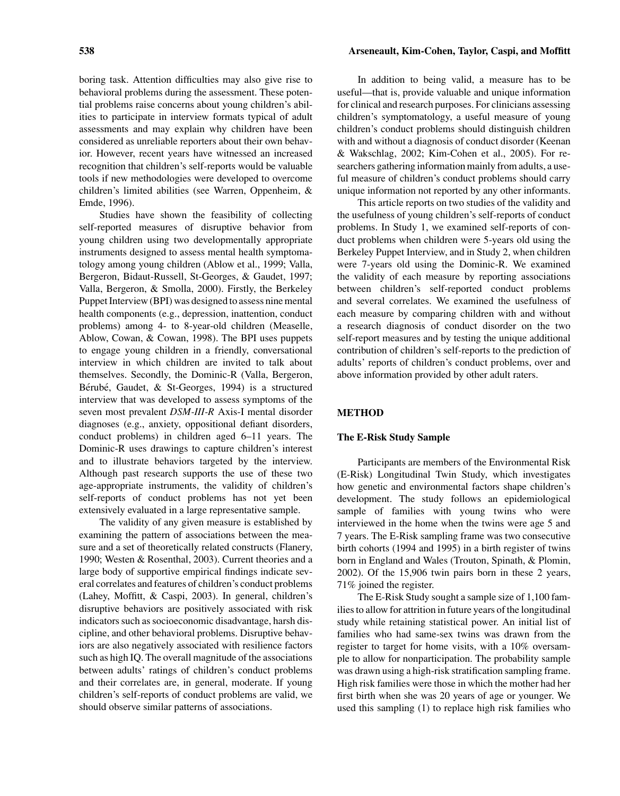boring task. Attention difficulties may also give rise to behavioral problems during the assessment. These potential problems raise concerns about young children's abilities to participate in interview formats typical of adult assessments and may explain why children have been considered as unreliable reporters about their own behavior. However, recent years have witnessed an increased recognition that children's self-reports would be valuable tools if new methodologies were developed to overcome children's limited abilities (see Warren, Oppenheim, &

Emde, 1996). Studies have shown the feasibility of collecting self-reported measures of disruptive behavior from young children using two developmentally appropriate instruments designed to assess mental health symptomatology among young children (Ablow et al., 1999; Valla, Bergeron, Bidaut-Russell, St-Georges, & Gaudet, 1997; Valla, Bergeron, & Smolla, 2000). Firstly, the Berkeley Puppet Interview (BPI) was designed to assess nine mental health components (e.g., depression, inattention, conduct problems) among 4- to 8-year-old children (Measelle, Ablow, Cowan, & Cowan, 1998). The BPI uses puppets to engage young children in a friendly, conversational interview in which children are invited to talk about themselves. Secondly, the Dominic-R (Valla, Bergeron, Bérubé, Gaudet, & St-Georges, 1994) is a structured interview that was developed to assess symptoms of the seven most prevalent *DSM-III-R* Axis-I mental disorder diagnoses (e.g., anxiety, oppositional defiant disorders, conduct problems) in children aged 6–11 years. The Dominic-R uses drawings to capture children's interest and to illustrate behaviors targeted by the interview. Although past research supports the use of these two age-appropriate instruments, the validity of children's self-reports of conduct problems has not yet been extensively evaluated in a large representative sample.

The validity of any given measure is established by examining the pattern of associations between the measure and a set of theoretically related constructs (Flanery, 1990; Westen & Rosenthal, 2003). Current theories and a large body of supportive empirical findings indicate several correlates and features of children's conduct problems (Lahey, Moffitt, & Caspi, 2003). In general, children's disruptive behaviors are positively associated with risk indicators such as socioeconomic disadvantage, harsh discipline, and other behavioral problems. Disruptive behaviors are also negatively associated with resilience factors such as high IQ. The overall magnitude of the associations between adults' ratings of children's conduct problems and their correlates are, in general, moderate. If young children's self-reports of conduct problems are valid, we should observe similar patterns of associations.

In addition to being valid, a measure has to be useful—that is, provide valuable and unique information for clinical and research purposes. For clinicians assessing children's symptomatology, a useful measure of young children's conduct problems should distinguish children with and without a diagnosis of conduct disorder (Keenan & Wakschlag, 2002; Kim-Cohen et al., 2005). For researchers gathering information mainly from adults, a useful measure of children's conduct problems should carry unique information not reported by any other informants.

This article reports on two studies of the validity and the usefulness of young children's self-reports of conduct problems. In Study 1, we examined self-reports of conduct problems when children were 5-years old using the Berkeley Puppet Interview, and in Study 2, when children were 7-years old using the Dominic-R. We examined the validity of each measure by reporting associations between children's self-reported conduct problems and several correlates. We examined the usefulness of each measure by comparing children with and without a research diagnosis of conduct disorder on the two self-report measures and by testing the unique additional contribution of children's self-reports to the prediction of adults' reports of children's conduct problems, over and above information provided by other adult raters.

#### **METHOD**

#### **The E-Risk Study Sample**

Participants are members of the Environmental Risk (E-Risk) Longitudinal Twin Study, which investigates how genetic and environmental factors shape children's development. The study follows an epidemiological sample of families with young twins who were interviewed in the home when the twins were age 5 and 7 years. The E-Risk sampling frame was two consecutive birth cohorts (1994 and 1995) in a birth register of twins born in England and Wales (Trouton, Spinath, & Plomin, 2002). Of the 15,906 twin pairs born in these 2 years, 71% joined the register.

The E-Risk Study sought a sample size of 1,100 families to allow for attrition in future years of the longitudinal study while retaining statistical power. An initial list of families who had same-sex twins was drawn from the register to target for home visits, with a 10% oversample to allow for nonparticipation. The probability sample was drawn using a high-risk stratification sampling frame. High risk families were those in which the mother had her first birth when she was 20 years of age or younger. We used this sampling (1) to replace high risk families who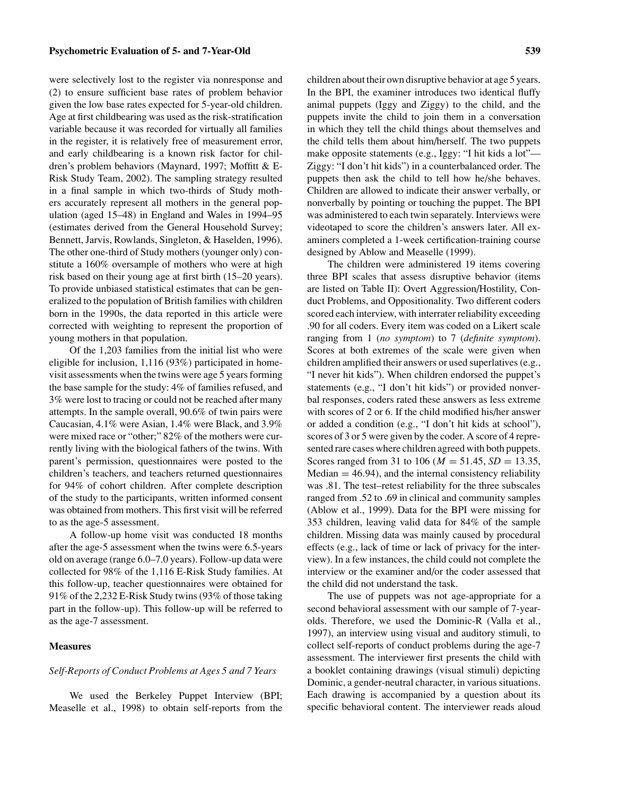#### **Psychometric Evaluation of 5- and 7-Year-Old 539**

were selectively lost to the register via nonresponse and (2) to ensure sufficient base rates of problem behavior given the low base rates expected for 5-year-old children. Age at first childbearing was used as the risk-stratification variable because it was recorded for virtually all families in the register, it is relatively free of measurement error, and early childbearing is a known risk factor for children's problem behaviors (Maynard, 1997; Moffitt & E-Risk Study Team, 2002). The sampling strategy resulted in a final sample in which two-thirds of Study mothers accurately represent all mothers in the general population (aged 15–48) in England and Wales in 1994–95 (estimates derived from the General Household Survey; Bennett, Jarvis, Rowlands, Singleton, & Haselden, 1996). The other one-third of Study mothers (younger only) constitute a 160% oversample of mothers who were at high risk based on their young age at first birth (15–20 years). To provide unbiased statistical estimates that can be generalized to the population of British families with children born in the 1990s, the data reported in this article were corrected with weighting to represent the proportion of young mothers in that population.

Of the 1,203 families from the initial list who were eligible for inclusion, 1,116 (93%) participated in homevisit assessments when the twins were age 5 years forming the base sample for the study: 4% of families refused, and 3% were lost to tracing or could not be reached after many attempts. In the sample overall, 90.6% of twin pairs were Caucasian, 4.1% were Asian, 1.4% were Black, and 3.9% were mixed race or "other;" 82% of the mothers were currently living with the biological fathers of the twins. With parent's permission, questionnaires were posted to the children's teachers, and teachers returned questionnaires for 94% of cohort children. After complete description of the study to the participants, written informed consent was obtained from mothers. This first visit will be referred to as the age-5 assessment.

A follow-up home visit was conducted 18 months after the age-5 assessment when the twins were 6.5-years old on average (range 6.0–7.0 years). Follow-up data were collected for 98% of the 1,116 E-Risk Study families. At this follow-up, teacher questionnaires were obtained for 91% of the 2,232 E-Risk Study twins (93% of those taking part in the follow-up). This follow-up will be referred to as the age-7 assessment.

#### **Measures**

#### *Self-Reports of Conduct Problems at Ages 5 and 7 Years*

We used the Berkeley Puppet Interview (BPI; Measelle et al., 1998) to obtain self-reports from the children about their own disruptive behavior at age 5 years. In the BPI, the examiner introduces two identical fluffy animal puppets (Iggy and Ziggy) to the child, and the puppets invite the child to join them in a conversation in which they tell the child things about themselves and the child tells them about him/herself. The two puppets make opposite statements (e.g., Iggy: "I hit kids a lot"— Ziggy: "I don't hit kids") in a counterbalanced order. The puppets then ask the child to tell how he/she behaves. Children are allowed to indicate their answer verbally, or nonverbally by pointing or touching the puppet. The BPI was administered to each twin separately. Interviews were videotaped to score the children's answers later. All examiners completed a 1-week certification-training course designed by Ablow and Measelle (1999).

The children were administered 19 items covering three BPI scales that assess disruptive behavior (items are listed on Table II): Overt Aggression/Hostility, Conduct Problems, and Oppositionality. Two different coders scored each interview, with interrater reliability exceeding .90 for all coders. Every item was coded on a Likert scale ranging from 1 (*no symptom*) to 7 (*definite symptom*). Scores at both extremes of the scale were given when children amplified their answers or used superlatives (e.g., "I never hit kids"). When children endorsed the puppet's statements (e.g., "I don't hit kids") or provided nonverbal responses, coders rated these answers as less extreme with scores of 2 or 6. If the child modified his/her answer or added a condition (e.g., "I don't hit kids at school"), scores of 3 or 5 were given by the coder. A score of 4 represented rare cases where children agreed with both puppets. Scores ranged from 31 to 106 ( $M = 51.45$ ,  $SD = 13.35$ ,  $Median = 46.94$ , and the internal consistency reliability was .81. The test–retest reliability for the three subscales ranged from .52 to .69 in clinical and community samples (Ablow et al., 1999). Data for the BPI were missing for 353 children, leaving valid data for 84% of the sample children. Missing data was mainly caused by procedural effects (e.g., lack of time or lack of privacy for the interview). In a few instances, the child could not complete the interview or the examiner and/or the coder assessed that the child did not understand the task.

The use of puppets was not age-appropriate for a second behavioral assessment with our sample of 7-yearolds. Therefore, we used the Dominic-R (Valla et al., 1997), an interview using visual and auditory stimuli, to collect self-reports of conduct problems during the age-7 assessment. The interviewer first presents the child with a booklet containing drawings (visual stimuli) depicting Dominic, a gender-neutral character, in various situations. Each drawing is accompanied by a question about its specific behavioral content. The interviewer reads aloud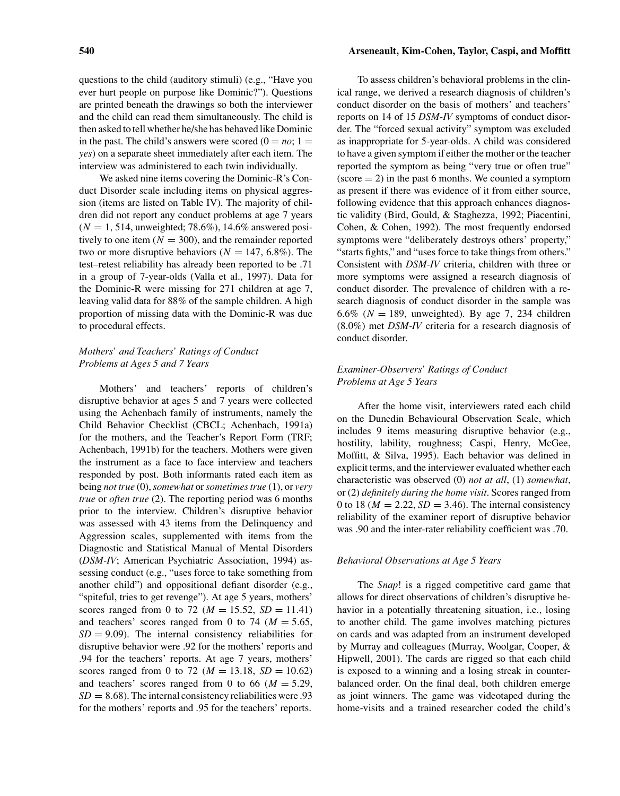questions to the child (auditory stimuli) (e.g., "Have you ever hurt people on purpose like Dominic?"). Questions are printed beneath the drawings so both the interviewer and the child can read them simultaneously. The child is then asked to tell whether he/she has behaved like Dominic in the past. The child's answers were scored  $(0 = no; 1 =$ *yes*) on a separate sheet immediately after each item. The interview was administered to each twin individually.

We asked nine items covering the Dominic-R's Conduct Disorder scale including items on physical aggression (items are listed on Table IV). The majority of children did not report any conduct problems at age 7 years (*N* = 1*,* 514, unweighted; 78.6%), 14.6% answered positively to one item  $(N = 300)$ , and the remainder reported two or more disruptive behaviors ( $N = 147, 6.8\%$ ). The test–retest reliability has already been reported to be .71 in a group of 7-year-olds (Valla et al., 1997). Data for the Dominic-R were missing for 271 children at age 7, leaving valid data for 88% of the sample children. A high proportion of missing data with the Dominic-R was due to procedural effects.

# *Mothers' and Teachers' Ratings of Conduct Problems at Ages 5 and 7 Years*

Mothers' and teachers' reports of children's disruptive behavior at ages 5 and 7 years were collected using the Achenbach family of instruments, namely the Child Behavior Checklist (CBCL; Achenbach, 1991a) for the mothers, and the Teacher's Report Form (TRF; Achenbach, 1991b) for the teachers. Mothers were given the instrument as a face to face interview and teachers responded by post. Both informants rated each item as being *not true* (0),*somewhat* or*sometimes true* (1), or *very true* or *often true* (2). The reporting period was 6 months prior to the interview. Children's disruptive behavior was assessed with 43 items from the Delinquency and Aggression scales, supplemented with items from the Diagnostic and Statistical Manual of Mental Disorders (*DSM-IV*; American Psychiatric Association, 1994) assessing conduct (e.g., "uses force to take something from another child") and oppositional defiant disorder (e.g., "spiteful, tries to get revenge"). At age 5 years, mothers' scores ranged from 0 to 72 ( $M = 15.52$ ,  $SD = 11.41$ ) and teachers' scores ranged from 0 to 74 ( $M = 5.65$ ,  $SD = 9.09$ . The internal consistency reliabilities for disruptive behavior were .92 for the mothers' reports and .94 for the teachers' reports. At age 7 years, mothers' scores ranged from 0 to 72 ( $M = 13.18$ ,  $SD = 10.62$ ) and teachers' scores ranged from 0 to 66 ( $M = 5.29$ ,  $SD = 8.68$ ). The internal consistency reliabilities were .93 for the mothers' reports and .95 for the teachers' reports.

To assess children's behavioral problems in the clinical range, we derived a research diagnosis of children's conduct disorder on the basis of mothers' and teachers' reports on 14 of 15 *DSM-IV* symptoms of conduct disorder. The "forced sexual activity" symptom was excluded as inappropriate for 5-year-olds. A child was considered to have a given symptom if either the mother or the teacher reported the symptom as being "very true or often true"  $(\text{score} = 2)$  in the past 6 months. We counted a symptom as present if there was evidence of it from either source, following evidence that this approach enhances diagnostic validity (Bird, Gould, & Staghezza, 1992; Piacentini, Cohen, & Cohen, 1992). The most frequently endorsed symptoms were "deliberately destroys others' property," "starts fights," and "uses force to take things from others." Consistent with *DSM-IV* criteria, children with three or more symptoms were assigned a research diagnosis of conduct disorder. The prevalence of children with a research diagnosis of conduct disorder in the sample was 6.6% ( $N = 189$ , unweighted). By age 7, 234 children (8.0%) met *DSM-IV* criteria for a research diagnosis of conduct disorder.

# *Examiner-Observers' Ratings of Conduct Problems at Age 5 Years*

After the home visit, interviewers rated each child on the Dunedin Behavioural Observation Scale, which includes 9 items measuring disruptive behavior (e.g., hostility, lability, roughness; Caspi, Henry, McGee, Moffitt, & Silva, 1995). Each behavior was defined in explicit terms, and the interviewer evaluated whether each characteristic was observed (0) *not at all*, (1) *somewhat*, or (2) *definitely during the home visit*. Scores ranged from 0 to 18 ( $M = 2.22$ ,  $SD = 3.46$ ). The internal consistency reliability of the examiner report of disruptive behavior was .90 and the inter-rater reliability coefficient was .70.

#### *Behavioral Observations at Age 5 Years*

The *Snap*! is a rigged competitive card game that allows for direct observations of children's disruptive behavior in a potentially threatening situation, i.e., losing to another child. The game involves matching pictures on cards and was adapted from an instrument developed by Murray and colleagues (Murray, Woolgar, Cooper, & Hipwell, 2001). The cards are rigged so that each child is exposed to a winning and a losing streak in counterbalanced order. On the final deal, both children emerge as joint winners. The game was videotaped during the home-visits and a trained researcher coded the child's

#### **540 Arseneault, Kim-Cohen, Taylor, Caspi, and Moffitt**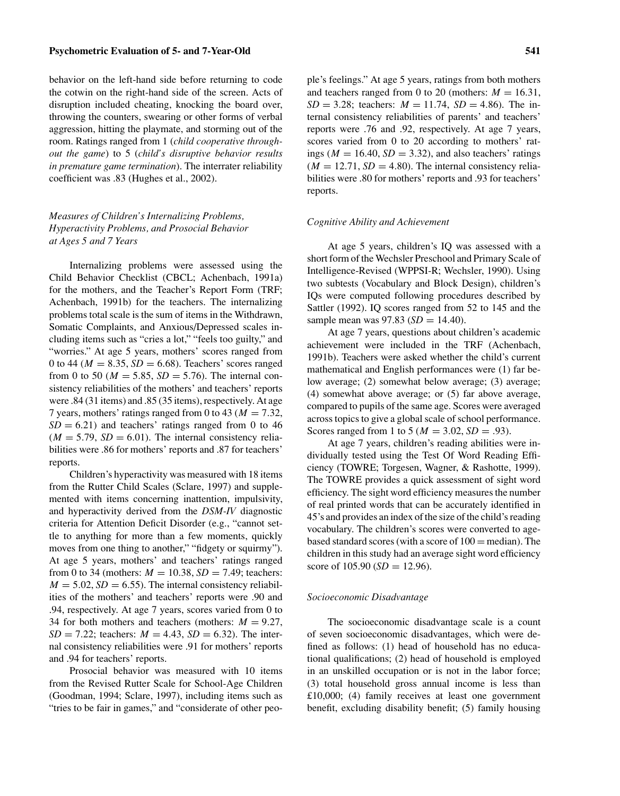#### **Psychometric Evaluation of 5- and 7-Year-Old 541**

behavior on the left-hand side before returning to code the cotwin on the right-hand side of the screen. Acts of disruption included cheating, knocking the board over, throwing the counters, swearing or other forms of verbal aggression, hitting the playmate, and storming out of the room. Ratings ranged from 1 (*child cooperative throughout the game*) to 5 (*child's disruptive behavior results in premature game termination*). The interrater reliability coefficient was .83 (Hughes et al., 2002).

# *Measures of Children's Internalizing Problems, Hyperactivity Problems, and Prosocial Behavior at Ages 5 and 7 Years*

Internalizing problems were assessed using the Child Behavior Checklist (CBCL; Achenbach, 1991a) for the mothers, and the Teacher's Report Form (TRF; Achenbach, 1991b) for the teachers. The internalizing problems total scale is the sum of items in the Withdrawn, Somatic Complaints, and Anxious/Depressed scales including items such as "cries a lot," "feels too guilty," and "worries." At age 5 years, mothers' scores ranged from 0 to 44 ( $M = 8.35$ ,  $SD = 6.68$ ). Teachers' scores ranged from 0 to 50 ( $M = 5.85$ ,  $SD = 5.76$ ). The internal consistency reliabilities of the mothers' and teachers' reports were .84 (31 items) and .85 (35 items), respectively. At age 7 years, mothers' ratings ranged from 0 to 43 ( $M = 7.32$ ,  $SD = 6.21$ ) and teachers' ratings ranged from 0 to 46  $(M = 5.79, SD = 6.01)$ . The internal consistency reliabilities were .86 for mothers' reports and .87 for teachers' reports.

Children's hyperactivity was measured with 18 items from the Rutter Child Scales (Sclare, 1997) and supplemented with items concerning inattention, impulsivity, and hyperactivity derived from the *DSM-IV* diagnostic criteria for Attention Deficit Disorder (e.g., "cannot settle to anything for more than a few moments, quickly moves from one thing to another," "fidgety or squirmy"). At age 5 years, mothers' and teachers' ratings ranged from 0 to 34 (mothers:  $M = 10.38$ ,  $SD = 7.49$ ; teachers:  $M = 5.02$ ,  $SD = 6.55$ ). The internal consistency reliabilities of the mothers' and teachers' reports were .90 and .94, respectively. At age 7 years, scores varied from 0 to 34 for both mothers and teachers (mothers:  $M = 9.27$ ,  $SD = 7.22$ ; teachers:  $M = 4.43$ ,  $SD = 6.32$ ). The internal consistency reliabilities were .91 for mothers' reports and .94 for teachers' reports.

Prosocial behavior was measured with 10 items from the Revised Rutter Scale for School-Age Children (Goodman, 1994; Sclare, 1997), including items such as "tries to be fair in games," and "considerate of other peo-

ple's feelings." At age 5 years, ratings from both mothers and teachers ranged from 0 to 20 (mothers:  $M = 16.31$ ,  $SD = 3.28$ ; teachers:  $M = 11.74$ ,  $SD = 4.86$ ). The internal consistency reliabilities of parents' and teachers' reports were .76 and .92, respectively. At age 7 years, scores varied from 0 to 20 according to mothers' ratings ( $M = 16.40$ ,  $SD = 3.32$ ), and also teachers' ratings  $(M = 12.71, SD = 4.80)$ . The internal consistency reliabilities were .80 for mothers' reports and .93 for teachers' reports.

#### *Cognitive Ability and Achievement*

At age 5 years, children's IQ was assessed with a short form of the Wechsler Preschool and Primary Scale of Intelligence-Revised (WPPSI-R; Wechsler, 1990). Using two subtests (Vocabulary and Block Design), children's IQs were computed following procedures described by Sattler (1992). IQ scores ranged from 52 to 145 and the sample mean was 97.83 (*SD* = 14*.*40).

At age 7 years, questions about children's academic achievement were included in the TRF (Achenbach, 1991b). Teachers were asked whether the child's current mathematical and English performances were (1) far below average; (2) somewhat below average; (3) average; (4) somewhat above average; or (5) far above average, compared to pupils of the same age. Scores were averaged across topics to give a global scale of school performance. Scores ranged from 1 to 5 ( $M = 3.02$ ,  $SD = .93$ ).

At age 7 years, children's reading abilities were individually tested using the Test Of Word Reading Efficiency (TOWRE; Torgesen, Wagner, & Rashotte, 1999). The TOWRE provides a quick assessment of sight word efficiency. The sight word efficiency measures the number of real printed words that can be accurately identified in 45's and provides an index of the size of the child's reading vocabulary. The children's scores were converted to agebased standard scores (with a score of  $100 =$  median). The children in this study had an average sight word efficiency score of  $105.90 (SD = 12.96)$ .

#### *Socioeconomic Disadvantage*

The socioeconomic disadvantage scale is a count of seven socioeconomic disadvantages, which were defined as follows: (1) head of household has no educational qualifications; (2) head of household is employed in an unskilled occupation or is not in the labor force; (3) total household gross annual income is less than £10,000; (4) family receives at least one government benefit, excluding disability benefit; (5) family housing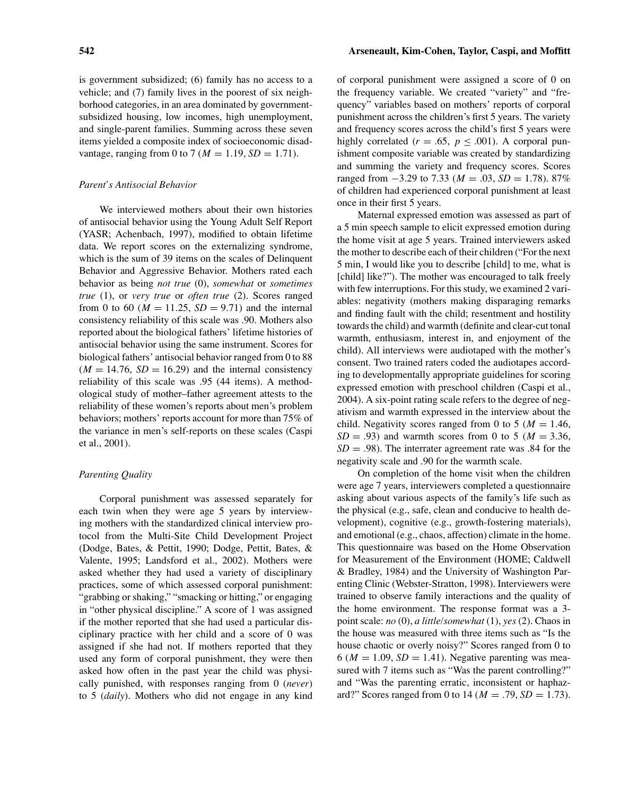#### *Parent's Antisocial Behavior*

We interviewed mothers about their own histories of antisocial behavior using the Young Adult Self Report (YASR; Achenbach, 1997), modified to obtain lifetime data. We report scores on the externalizing syndrome, which is the sum of 39 items on the scales of Delinquent Behavior and Aggressive Behavior. Mothers rated each behavior as being *not true* (0), *somewhat* or *sometimes true* (1), or *very true* or *often true* (2). Scores ranged from 0 to 60 ( $M = 11.25$ ,  $SD = 9.71$ ) and the internal consistency reliability of this scale was .90. Mothers also reported about the biological fathers' lifetime histories of antisocial behavior using the same instrument. Scores for biological fathers' antisocial behavior ranged from 0 to 88  $(M = 14.76, SD = 16.29)$  and the internal consistency reliability of this scale was .95 (44 items). A methodological study of mother–father agreement attests to the reliability of these women's reports about men's problem behaviors; mothers' reports account for more than 75% of the variance in men's self-reports on these scales (Caspi et al., 2001).

#### *Parenting Quality*

Corporal punishment was assessed separately for each twin when they were age 5 years by interviewing mothers with the standardized clinical interview protocol from the Multi-Site Child Development Project (Dodge, Bates, & Pettit, 1990; Dodge, Pettit, Bates, & Valente, 1995; Landsford et al., 2002). Mothers were asked whether they had used a variety of disciplinary practices, some of which assessed corporal punishment: "grabbing or shaking," "smacking or hitting," or engaging in "other physical discipline." A score of 1 was assigned if the mother reported that she had used a particular disciplinary practice with her child and a score of 0 was assigned if she had not. If mothers reported that they used any form of corporal punishment, they were then asked how often in the past year the child was physically punished, with responses ranging from 0 (*never*) to 5 (*daily*). Mothers who did not engage in any kind of corporal punishment were assigned a score of 0 on the frequency variable. We created "variety" and "frequency" variables based on mothers' reports of corporal punishment across the children's first 5 years. The variety and frequency scores across the child's first 5 years were highly correlated ( $r = .65$ ,  $p \le .001$ ). A corporal punishment composite variable was created by standardizing and summing the variety and frequency scores. Scores ranged from  $-3.29$  to 7.33 (*M* =  $.03$ , *SD* = 1.78). 87% of children had experienced corporal punishment at least once in their first 5 years.

Maternal expressed emotion was assessed as part of a 5 min speech sample to elicit expressed emotion during the home visit at age 5 years. Trained interviewers asked the mother to describe each of their children ("For the next 5 min, I would like you to describe [child] to me, what is [child] like?"). The mother was encouraged to talk freely with few interruptions. For this study, we examined 2 variables: negativity (mothers making disparaging remarks and finding fault with the child; resentment and hostility towards the child) and warmth (definite and clear-cut tonal warmth, enthusiasm, interest in, and enjoyment of the child). All interviews were audiotaped with the mother's consent. Two trained raters coded the audiotapes according to developmentally appropriate guidelines for scoring expressed emotion with preschool children (Caspi et al., 2004). A six-point rating scale refers to the degree of negativism and warmth expressed in the interview about the child. Negativity scores ranged from 0 to 5 ( $M = 1.46$ ,  $SD = .93$ ) and warmth scores from 0 to 5 ( $M = 3.36$ ,  $SD = .98$ ). The interrater agreement rate was  $.84$  for the negativity scale and .90 for the warmth scale.

On completion of the home visit when the children were age 7 years, interviewers completed a questionnaire asking about various aspects of the family's life such as the physical (e.g., safe, clean and conducive to health development), cognitive (e.g., growth-fostering materials), and emotional (e.g., chaos, affection) climate in the home. This questionnaire was based on the Home Observation for Measurement of the Environment (HOME; Caldwell & Bradley, 1984) and the University of Washington Parenting Clinic (Webster-Stratton, 1998). Interviewers were trained to observe family interactions and the quality of the home environment. The response format was a 3 point scale: *no* (0), *a little/somewhat* (1), *yes* (2). Chaos in the house was measured with three items such as "Is the house chaotic or overly noisy?" Scores ranged from 0 to  $6 (M = 1.09, SD = 1.41)$ . Negative parenting was measured with 7 items such as "Was the parent controlling?" and "Was the parenting erratic, inconsistent or haphazard?" Scores ranged from 0 to 14 ( $M = .79$ ,  $SD = 1.73$ ).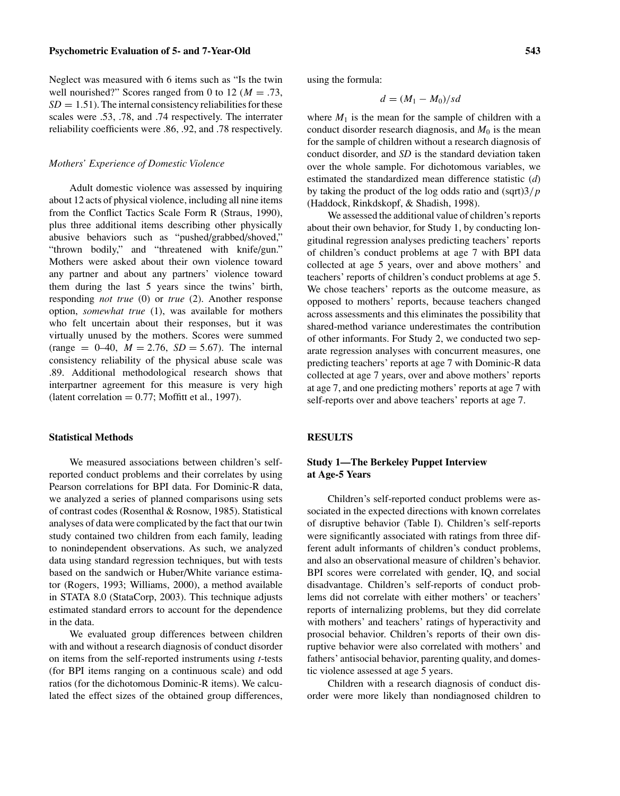#### **Psychometric Evaluation of 5- and 7-Year-Old 543**

Neglect was measured with 6 items such as "Is the twin well nourished?" Scores ranged from 0 to 12 ( $M = .73$ ,  $SD = 1.51$ . The internal consistency reliabilities for these scales were .53, .78, and .74 respectively. The interrater reliability coefficients were .86, .92, and .78 respectively.

#### *Mothers' Experience of Domestic Violence*

Adult domestic violence was assessed by inquiring about 12 acts of physical violence, including all nine items from the Conflict Tactics Scale Form R (Straus, 1990), plus three additional items describing other physically abusive behaviors such as "pushed/grabbed/shoved," "thrown bodily," and "threatened with knife/gun." Mothers were asked about their own violence toward any partner and about any partners' violence toward them during the last 5 years since the twins' birth, responding *not true* (0) or *true* (2). Another response option, *somewhat true* (1), was available for mothers who felt uncertain about their responses, but it was virtually unused by the mothers. Scores were summed  $(range = 0-40, M = 2.76, SD = 5.67)$ . The internal consistency reliability of the physical abuse scale was .89. Additional methodological research shows that interpartner agreement for this measure is very high (latent correlation  $= 0.77$ ; Moffitt et al., 1997).

#### **Statistical Methods**

We measured associations between children's selfreported conduct problems and their correlates by using Pearson correlations for BPI data. For Dominic-R data, we analyzed a series of planned comparisons using sets of contrast codes (Rosenthal & Rosnow, 1985). Statistical analyses of data were complicated by the fact that our twin study contained two children from each family, leading to nonindependent observations. As such, we analyzed data using standard regression techniques, but with tests based on the sandwich or Huber/White variance estimator (Rogers, 1993; Williams, 2000), a method available in STATA 8.0 (StataCorp, 2003). This technique adjusts estimated standard errors to account for the dependence in the data.

We evaluated group differences between children with and without a research diagnosis of conduct disorder on items from the self-reported instruments using *t*-tests (for BPI items ranging on a continuous scale) and odd ratios (for the dichotomous Dominic-R items). We calculated the effect sizes of the obtained group differences,

using the formula:

$$
d = (M_1 - M_0)/sd
$$

where  $M_1$  is the mean for the sample of children with a conduct disorder research diagnosis, and  $M_0$  is the mean for the sample of children without a research diagnosis of conduct disorder, and *SD* is the standard deviation taken over the whole sample. For dichotomous variables, we estimated the standardized mean difference statistic (*d*) by taking the product of the log odds ratio and (sqrt)3*/p* (Haddock, Rinkdskopf, & Shadish, 1998).

We assessed the additional value of children's reports about their own behavior, for Study 1, by conducting longitudinal regression analyses predicting teachers' reports of children's conduct problems at age 7 with BPI data collected at age 5 years, over and above mothers' and teachers' reports of children's conduct problems at age 5. We chose teachers' reports as the outcome measure, as opposed to mothers' reports, because teachers changed across assessments and this eliminates the possibility that shared-method variance underestimates the contribution of other informants. For Study 2, we conducted two separate regression analyses with concurrent measures, one predicting teachers' reports at age 7 with Dominic-R data collected at age 7 years, over and above mothers' reports at age 7, and one predicting mothers' reports at age 7 with self-reports over and above teachers' reports at age 7.

## **RESULTS**

# **Study 1—The Berkeley Puppet Interview at Age-5 Years**

Children's self-reported conduct problems were associated in the expected directions with known correlates of disruptive behavior (Table I). Children's self-reports were significantly associated with ratings from three different adult informants of children's conduct problems, and also an observational measure of children's behavior. BPI scores were correlated with gender, IQ, and social disadvantage. Children's self-reports of conduct problems did not correlate with either mothers' or teachers' reports of internalizing problems, but they did correlate with mothers' and teachers' ratings of hyperactivity and prosocial behavior. Children's reports of their own disruptive behavior were also correlated with mothers' and fathers' antisocial behavior, parenting quality, and domestic violence assessed at age 5 years.

Children with a research diagnosis of conduct disorder were more likely than nondiagnosed children to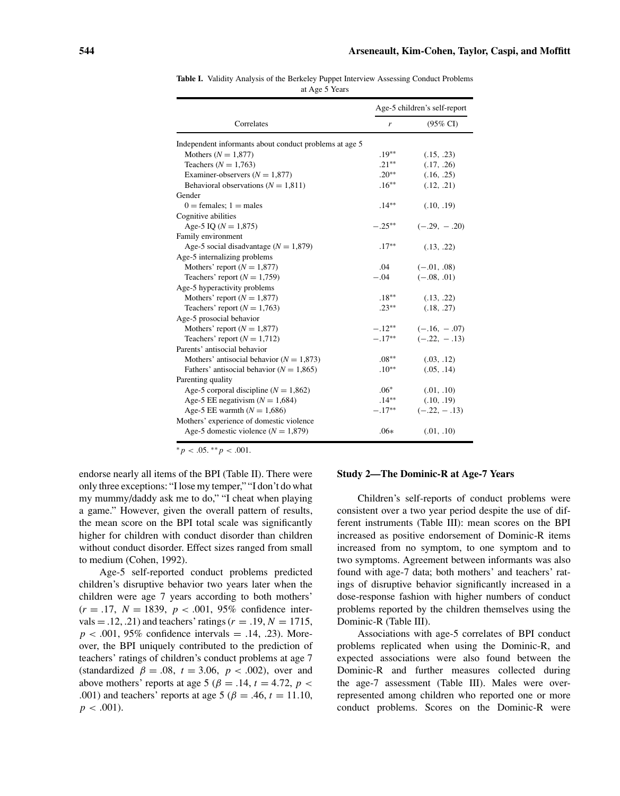|                                                        | Age-5 children's self-report |                     |  |
|--------------------------------------------------------|------------------------------|---------------------|--|
| Correlates                                             | r                            | $(95\% \text{ CI})$ |  |
| Independent informants about conduct problems at age 5 |                              |                     |  |
| Mothers ( $N = 1,877$ )                                | $.19**$                      | (.15, .23)          |  |
| Teachers ( $N = 1,763$ )                               | $.21**$                      | (.17, .26)          |  |
| Examiner-observers $(N = 1,877)$                       | $.20**$                      | (.16, .25)          |  |
| Behavioral observations ( $N = 1,811$ )                | $.16**$                      | (.12, .21)          |  |
| Gender                                                 |                              |                     |  |
| $0 =$ females; $1 =$ males                             | $.14**$                      | (.10, .19)          |  |
| Cognitive abilities                                    |                              |                     |  |
| Age-5 IQ ( $N = 1,875$ )                               | $-.25**$                     | $(-.29, -.20)$      |  |
| Family environment                                     |                              |                     |  |
| Age-5 social disadvantage ( $N = 1,879$ )              | $.17**$                      | (.13, .22)          |  |
| Age-5 internalizing problems                           |                              |                     |  |
| Mothers' report ( $N = 1,877$ )                        | .04                          | $(-.01, .08)$       |  |
| Teachers' report ( $N = 1,759$ )                       | $-.04$                       | $(-.08, .01)$       |  |
| Age-5 hyperactivity problems                           |                              |                     |  |
| Mothers' report ( $N = 1,877$ )                        | $.18**$                      | (.13, .22)          |  |
| Teachers' report ( $N = 1,763$ )                       | $.23**$                      | (.18, .27)          |  |
| Age-5 prosocial behavior                               |                              |                     |  |
| Mothers' report ( $N = 1,877$ )                        | $-.12**$                     | $(-.16, -.07)$      |  |
| Teachers' report $(N = 1,712)$                         | $-.17**$                     | $(-.22, -.13)$      |  |
| Parents' antisocial behavior                           |                              |                     |  |
| Mothers' antisocial behavior ( $N = 1,873$ )           | $.08**$                      | (.03, .12)          |  |
| Fathers' antisocial behavior ( $N = 1,865$ )           | $.10**$                      | (.05, .14)          |  |
| Parenting quality                                      |                              |                     |  |
| Age-5 corporal discipline ( $N = 1,862$ )              | $.06*$                       | (.01, .10)          |  |
| Age-5 EE negativism ( $N = 1,684$ )                    | $.14**$                      | (.10, .19)          |  |
| Age-5 EE warmth ( $N = 1,686$ )                        | $-.17**$                     | $(-.22, -.13)$      |  |
| Mothers' experience of domestic violence               |                              |                     |  |
| Age-5 domestic violence $(N = 1,879)$                  | $.06*$                       | (.01, .10)          |  |
|                                                        |                              |                     |  |

**Table I.** Validity Analysis of the Berkeley Puppet Interview Assessing Conduct Problems at Age 5 Years

 $* p < .05. ** p < .001.$ 

endorse nearly all items of the BPI (Table II). There were only three exceptions: "I lose my temper," "I don't do what my mummy/daddy ask me to do," "I cheat when playing a game." However, given the overall pattern of results, the mean score on the BPI total scale was significantly higher for children with conduct disorder than children without conduct disorder. Effect sizes ranged from small to medium (Cohen, 1992).

Age-5 self-reported conduct problems predicted children's disruptive behavior two years later when the children were age 7 years according to both mothers'  $(r = .17, N = 1839, p < .001, 95\%$  confidence intervals  $=$  .12, .21) and teachers' ratings ( $r = .19$ ,  $N = 1715$ ,  $p < .001$ , 95% confidence intervals  $= .14, .23$ ). Moreover, the BPI uniquely contributed to the prediction of teachers' ratings of children's conduct problems at age 7 (standardized  $\beta = .08$ ,  $t = 3.06$ ,  $p < .002$ ), over and above mothers' reports at age 5 ( $\beta$  = *.*14,  $t$  = 4.72,  $p$  < *.*001) and teachers' reports at age 5 ( $\beta$  = *.*46, *t* = 11*.*10,  $p < .001$ ).

#### **Study 2—The Dominic-R at Age-7 Years**

Children's self-reports of conduct problems were consistent over a two year period despite the use of different instruments (Table III): mean scores on the BPI increased as positive endorsement of Dominic-R items increased from no symptom, to one symptom and to two symptoms. Agreement between informants was also found with age-7 data; both mothers' and teachers' ratings of disruptive behavior significantly increased in a dose-response fashion with higher numbers of conduct problems reported by the children themselves using the Dominic-R (Table III).

Associations with age-5 correlates of BPI conduct problems replicated when using the Dominic-R, and expected associations were also found between the Dominic-R and further measures collected during the age-7 assessment (Table III). Males were overrepresented among children who reported one or more conduct problems. Scores on the Dominic-R were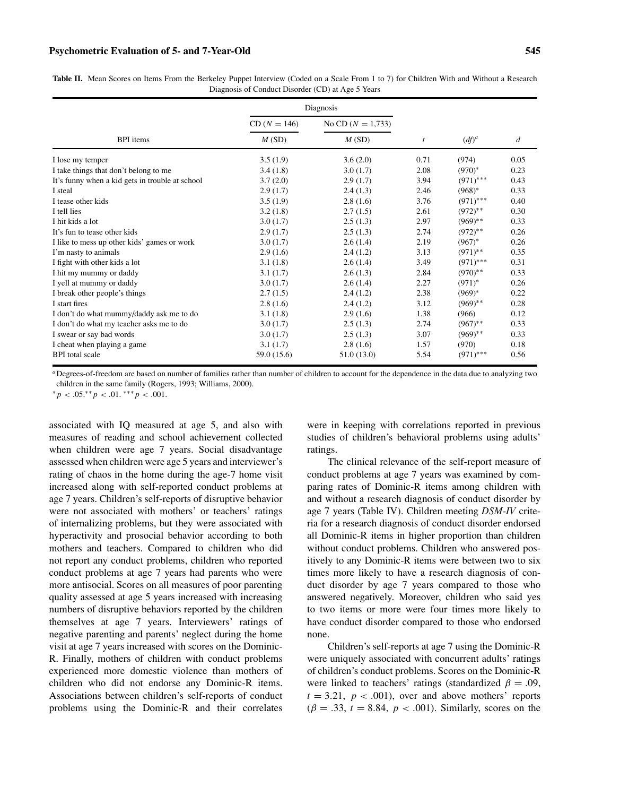| Table II. Mean Scores on Items From the Berkeley Puppet Interview (Coded on a Scale From 1 to 7) for Children With and Without a Research |  |
|-------------------------------------------------------------------------------------------------------------------------------------------|--|
| Diagnosis of Conduct Disorder (CD) at Age 5 Years                                                                                         |  |

|                                                 | Diagnosis      |                     |      |             |      |
|-------------------------------------------------|----------------|---------------------|------|-------------|------|
|                                                 | $CD (N = 146)$ | No CD $(N = 1,733)$ |      |             |      |
| <b>BPI</b> items                                | M(SD)          | M(SD)               | t    | $(df)^a$    | d    |
| I lose my temper                                | 3.5(1.9)       | 3.6(2.0)            | 0.71 | (974)       | 0.05 |
| I take things that don't belong to me           | 3.4(1.8)       | 3.0(1.7)            | 2.08 | $(970)^*$   | 0.23 |
| It's funny when a kid gets in trouble at school | 3.7(2.0)       | 2.9(1.7)            | 3.94 | $(971)$ *** | 0.43 |
| I steal                                         | 2.9(1.7)       | 2.4(1.3)            | 2.46 | $(968)^*$   | 0.33 |
| I tease other kids                              | 3.5(1.9)       | 2.8(1.6)            | 3.76 | $(971)$ *** | 0.40 |
| I tell lies                                     | 3.2(1.8)       | 2.7(1.5)            | 2.61 | $(972)$ **  | 0.30 |
| I hit kids a lot                                | 3.0(1.7)       | 2.5(1.3)            | 2.97 | $(969)$ **  | 0.33 |
| It's fun to tease other kids                    | 2.9(1.7)       | 2.5(1.3)            | 2.74 | $(972)$ **  | 0.26 |
| I like to mess up other kids' games or work     | 3.0(1.7)       | 2.6(1.4)            | 2.19 | $(967)^*$   | 0.26 |
| I'm nasty to animals                            | 2.9(1.6)       | 2.4(1.2)            | 3.13 | $(971)$ **  | 0.35 |
| I fight with other kids a lot                   | 3.1(1.8)       | 2.6(1.4)            | 3.49 | $(971)$ *** | 0.31 |
| I hit my mummy or daddy                         | 3.1(1.7)       | 2.6(1.3)            | 2.84 | $(970)$ **  | 0.33 |
| I yell at mummy or daddy                        | 3.0(1.7)       | 2.6(1.4)            | 2.27 | $(971)^*$   | 0.26 |
| I break other people's things                   | 2.7(1.5)       | 2.4(1.2)            | 2.38 | $(969)^*$   | 0.22 |
| I start fires                                   | 2.8(1.6)       | 2.4(1.2)            | 3.12 | $(969)$ **  | 0.28 |
| I don't do what mummy/daddy ask me to do        | 3.1(1.8)       | 2.9(1.6)            | 1.38 | (966)       | 0.12 |
| I don't do what my teacher asks me to do        | 3.0(1.7)       | 2.5(1.3)            | 2.74 | $(967)$ **  | 0.33 |
| I swear or say bad words                        | 3.0(1.7)       | 2.5(1.3)            | 3.07 | $(969)$ **  | 0.33 |
| I cheat when playing a game                     | 3.1(1.7)       | 2.8(1.6)            | 1.57 | (970)       | 0.18 |
| <b>BPI</b> total scale                          | 59.0 (15.6)    | 51.0(13.0)          | 5.54 | $(971)$ *** | 0.56 |

*<sup>a</sup>*Degrees-of-freedom are based on number of families rather than number of children to account for the dependence in the data due to analyzing two children in the same family (Rogers, 1993; Williams, 2000).

 $<sup>∗</sup>p < .05. <sup>∗∗</sup>p < .01. <sup>***</sup>p < .001.$ </sup>

associated with IQ measured at age 5, and also with measures of reading and school achievement collected when children were age 7 years. Social disadvantage assessed when children were age 5 years and interviewer's rating of chaos in the home during the age-7 home visit increased along with self-reported conduct problems at age 7 years. Children's self-reports of disruptive behavior were not associated with mothers' or teachers' ratings of internalizing problems, but they were associated with hyperactivity and prosocial behavior according to both mothers and teachers. Compared to children who did not report any conduct problems, children who reported conduct problems at age 7 years had parents who were more antisocial. Scores on all measures of poor parenting quality assessed at age 5 years increased with increasing numbers of disruptive behaviors reported by the children themselves at age 7 years. Interviewers' ratings of negative parenting and parents' neglect during the home visit at age 7 years increased with scores on the Dominic-R. Finally, mothers of children with conduct problems experienced more domestic violence than mothers of children who did not endorse any Dominic-R items. Associations between children's self-reports of conduct problems using the Dominic-R and their correlates

were in keeping with correlations reported in previous studies of children's behavioral problems using adults' ratings.

The clinical relevance of the self-report measure of conduct problems at age 7 years was examined by comparing rates of Dominic-R items among children with and without a research diagnosis of conduct disorder by age 7 years (Table IV). Children meeting *DSM-IV* criteria for a research diagnosis of conduct disorder endorsed all Dominic-R items in higher proportion than children without conduct problems. Children who answered positively to any Dominic-R items were between two to six times more likely to have a research diagnosis of conduct disorder by age 7 years compared to those who answered negatively. Moreover, children who said yes to two items or more were four times more likely to have conduct disorder compared to those who endorsed none.

Children's self-reports at age 7 using the Dominic-R were uniquely associated with concurrent adults' ratings of children's conduct problems. Scores on the Dominic-R were linked to teachers' ratings (standardized  $\beta = .09$ ,  $t = 3.21$ ,  $p < .001$ ), over and above mothers' reports  $(\beta = .33, t = 8.84, p < .001)$ . Similarly, scores on the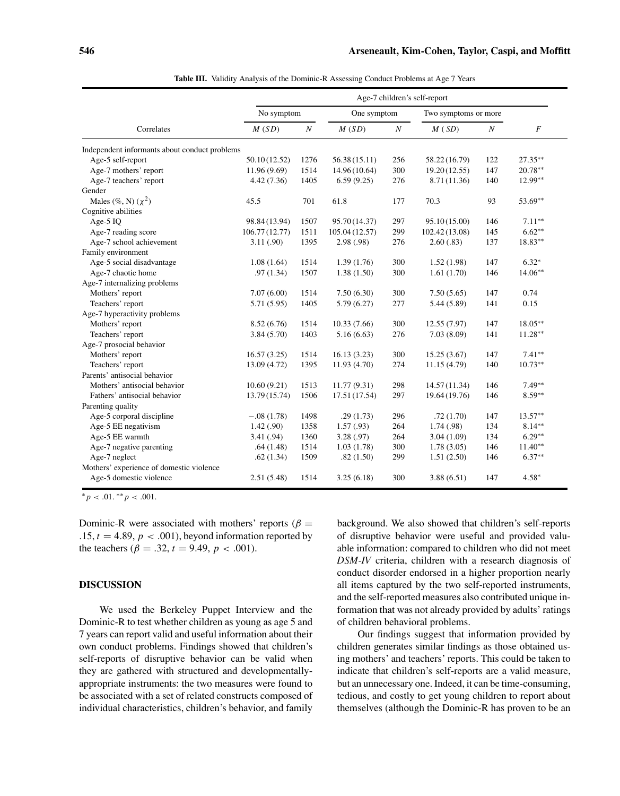|                                               | Age-7 children's self-report |                  |                |                  |                |                      |                |
|-----------------------------------------------|------------------------------|------------------|----------------|------------------|----------------|----------------------|----------------|
|                                               |                              | No symptom       |                | One symptom      |                | Two symptoms or more |                |
| Correlates                                    | M(SD)                        | $\boldsymbol{N}$ | M(SD)          | $\boldsymbol{N}$ | M(SD)          | $\boldsymbol{N}$     | $\overline{F}$ |
| Independent informants about conduct problems |                              |                  |                |                  |                |                      |                |
| Age-5 self-report                             | 50.10(12.52)                 | 1276             | 56.38(15.11)   | 256              | 58.22 (16.79)  | 122                  | $27.35**$      |
| Age-7 mothers' report                         | 11.96(9.69)                  | 1514             | 14.96(10.64)   | 300              | 19.20(12.55)   | 147                  | $20.78**$      |
| Age-7 teachers' report                        | 4.42(7.36)                   | 1405             | 6.59(9.25)     | 276              | 8.71 (11.36)   | 140                  | 12.99**        |
| Gender                                        |                              |                  |                |                  |                |                      |                |
| Males $(\%$ , N) $(\chi^2)$                   | 45.5                         | 701              | 61.8           | 177              | 70.3           | 93                   | 53.69**        |
| Cognitive abilities                           |                              |                  |                |                  |                |                      |                |
| Age-5 IO                                      | 98.84 (13.94)                | 1507             | 95.70 (14.37)  | 297              | 95.10 (15.00)  | 146                  | $7.11***$      |
| Age-7 reading score                           | 106.77(12.77)                | 1511             | 105.04 (12.57) | 299              | 102.42 (13.08) | 145                  | $6.62**$       |
| Age-7 school achievement                      | 3.11(.90)                    | 1395             | 2.98(.98)      | 276              | 2.60(.83)      | 137                  | 18.83**        |
| Family environment                            |                              |                  |                |                  |                |                      |                |
| Age-5 social disadvantage                     | 1.08(1.64)                   | 1514             | 1.39(1.76)     | 300              | 1.52(1.98)     | 147                  | $6.32*$        |
| Age-7 chaotic home                            | .97(1.34)                    | 1507             | 1.38(1.50)     | 300              | 1.61(1.70)     | 146                  | $14.06**$      |
| Age-7 internalizing problems                  |                              |                  |                |                  |                |                      |                |
| Mothers' report                               | 7.07(6.00)                   | 1514             | 7.50(6.30)     | 300              | 7.50(5.65)     | 147                  | 0.74           |
| Teachers' report                              | 5.71(5.95)                   | 1405             | 5.79(6.27)     | 277              | 5.44(5.89)     | 141                  | 0.15           |
| Age-7 hyperactivity problems                  |                              |                  |                |                  |                |                      |                |
| Mothers' report                               | 8.52(6.76)                   | 1514             | 10.33(7.66)    | 300              | 12.55(7.97)    | 147                  | $18.05**$      |
| Teachers' report                              | 3.84(5.70)                   | 1403             | 5.16(6.63)     | 276              | 7.03(8.09)     | 141                  | $11.28**$      |
| Age-7 prosocial behavior                      |                              |                  |                |                  |                |                      |                |
| Mothers' report                               | 16.57(3.25)                  | 1514             | 16.13(3.23)    | 300              | 15.25(3.67)    | 147                  | $7.41**$       |
| Teachers' report                              | 13.09(4.72)                  | 1395             | 11.93(4.70)    | 274              | 11.15 (4.79)   | 140                  | $10.73**$      |
| Parents' antisocial behavior                  |                              |                  |                |                  |                |                      |                |
| Mothers' antisocial behavior                  | 10.60(9.21)                  | 1513             | 11.77(9.31)    | 298              | 14.57 (11.34)  | 146                  | $7.49**$       |
| Fathers' antisocial behavior                  | 13.79 (15.74)                | 1506             | 17.51 (17.54)  | 297              | 19.64 (19.76)  | 146                  | $8.59**$       |
| Parenting quality                             |                              |                  |                |                  |                |                      |                |
| Age-5 corporal discipline                     | $-.08(1.78)$                 | 1498             | .29(1.73)      | 296              | .72(1.70)      | 147                  | $13.57**$      |
| Age-5 EE negativism                           | 1.42(.90)                    | 1358             | 1.57(.93)      | 264              | 1.74(.98)      | 134                  | $8.14**$       |
| Age-5 EE warmth                               | 3.41(.94)                    | 1360             | 3.28(.97)      | 264              | 3.04(1.09)     | 134                  | $6.29**$       |
| Age-7 negative parenting                      | .64(1.48)                    | 1514             | 1.03(1.78)     | 300              | 1.78(3.05)     | 146                  | $11.40**$      |
| Age-7 neglect                                 | .62(1.34)                    | 1509             | .82(1.50)      | 299              | 1.51(2.50)     | 146                  | $6.37**$       |
| Mothers' experience of domestic violence      |                              |                  |                |                  |                |                      |                |
| Age-5 domestic violence                       | 2.51(5.48)                   | 1514             | 3.25(6.18)     | 300              | 3.88(6.51)     | 147                  | $4.58*$        |

**Table III.** Validity Analysis of the Dominic-R Assessing Conduct Problems at Age 7 Years

 $* p < .01. * p < .001.$ 

Dominic-R were associated with mothers' reports ( $\beta$  =  $.15, t = 4.89, p < .001$ , beyond information reported by the teachers ( $\beta = .32$ ,  $t = 9.49$ ,  $p < .001$ ).

#### **DISCUSSION**

We used the Berkeley Puppet Interview and the Dominic-R to test whether children as young as age 5 and 7 years can report valid and useful information about their own conduct problems. Findings showed that children's self-reports of disruptive behavior can be valid when they are gathered with structured and developmentallyappropriate instruments: the two measures were found to be associated with a set of related constructs composed of individual characteristics, children's behavior, and family

background. We also showed that children's self-reports of disruptive behavior were useful and provided valuable information: compared to children who did not meet *DSM-IV* criteria, children with a research diagnosis of conduct disorder endorsed in a higher proportion nearly all items captured by the two self-reported instruments, and the self-reported measures also contributed unique information that was not already provided by adults' ratings of children behavioral problems.

Our findings suggest that information provided by children generates similar findings as those obtained using mothers' and teachers' reports. This could be taken to indicate that children's self-reports are a valid measure, but an unnecessary one. Indeed, it can be time-consuming, tedious, and costly to get young children to report about themselves (although the Dominic-R has proven to be an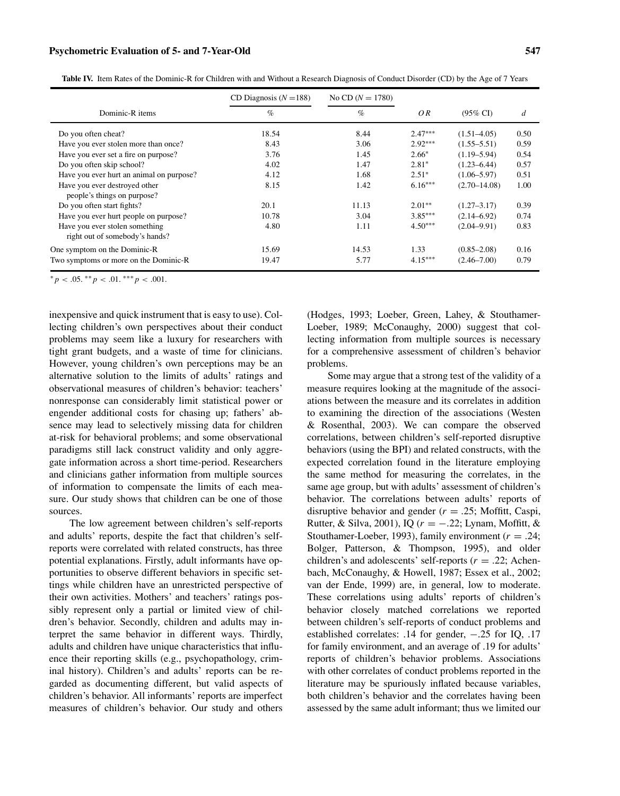| Table IV. Item Rates of the Dominic-R for Children with and Without a Research Diagnosis of Conduct Disorder (CD) by the Age of 7 Years |  |
|-----------------------------------------------------------------------------------------------------------------------------------------|--|
|-----------------------------------------------------------------------------------------------------------------------------------------|--|

|                                                                  | CD Diagnosis $(N=188)$ | No CD $(N = 1780)$ |           |                     |      |
|------------------------------------------------------------------|------------------------|--------------------|-----------|---------------------|------|
| Dominic-R items                                                  | $\%$                   | $\%$               | OR.       | $(95\% \text{ CI})$ | d    |
| Do you often cheat?                                              | 18.54                  | 8.44               | $2.47***$ | $(1.51 - 4.05)$     | 0.50 |
| Have you ever stolen more than once?                             | 8.43                   | 3.06               | $2.92***$ | $(1.55 - 5.51)$     | 0.59 |
| Have you ever set a fire on purpose?                             | 3.76                   | 1.45               | $2.66*$   | $(1.19 - 5.94)$     | 0.54 |
| Do you often skip school?                                        | 4.02                   | 1.47               | $2.81*$   | $(1.23 - 6.44)$     | 0.57 |
| Have you ever hurt an animal on purpose?                         | 4.12                   | 1.68               | $2.51*$   | $(1.06 - 5.97)$     | 0.51 |
| Have you ever destroyed other<br>people's things on purpose?     | 8.15                   | 1.42               | $6.16***$ | $(2.70 - 14.08)$    | 1.00 |
| Do you often start fights?                                       | 20.1                   | 11.13              | $2.01**$  | $(1.27 - 3.17)$     | 0.39 |
| Have you ever hurt people on purpose?                            | 10.78                  | 3.04               | $3.85***$ | $(2.14 - 6.92)$     | 0.74 |
| Have you ever stolen something<br>right out of somebody's hands? | 4.80                   | 1.11               | $4.50***$ | $(2.04 - 9.91)$     | 0.83 |
| One symptom on the Dominic-R                                     | 15.69                  | 14.53              | 1.33      | $(0.85 - 2.08)$     | 0.16 |
| Two symptoms or more on the Dominic-R                            | 19.47                  | 5.77               | $4.15***$ | $(2.46 - 7.00)$     | 0.79 |

 ${}^*p < .05.$  \*\* $p < .01.$  \*\*\* $p < .001.$ 

inexpensive and quick instrument that is easy to use). Collecting children's own perspectives about their conduct problems may seem like a luxury for researchers with tight grant budgets, and a waste of time for clinicians. However, young children's own perceptions may be an alternative solution to the limits of adults' ratings and observational measures of children's behavior: teachers' nonresponse can considerably limit statistical power or engender additional costs for chasing up; fathers' absence may lead to selectively missing data for children at-risk for behavioral problems; and some observational paradigms still lack construct validity and only aggregate information across a short time-period. Researchers and clinicians gather information from multiple sources of information to compensate the limits of each measure. Our study shows that children can be one of those sources.

The low agreement between children's self-reports and adults' reports, despite the fact that children's selfreports were correlated with related constructs, has three potential explanations. Firstly, adult informants have opportunities to observe different behaviors in specific settings while children have an unrestricted perspective of their own activities. Mothers' and teachers' ratings possibly represent only a partial or limited view of children's behavior. Secondly, children and adults may interpret the same behavior in different ways. Thirdly, adults and children have unique characteristics that influence their reporting skills (e.g., psychopathology, criminal history). Children's and adults' reports can be regarded as documenting different, but valid aspects of children's behavior. All informants' reports are imperfect measures of children's behavior. Our study and others

(Hodges, 1993; Loeber, Green, Lahey, & Stouthamer-Loeber, 1989; McConaughy, 2000) suggest that collecting information from multiple sources is necessary for a comprehensive assessment of children's behavior problems.

Some may argue that a strong test of the validity of a measure requires looking at the magnitude of the associations between the measure and its correlates in addition to examining the direction of the associations (Westen & Rosenthal, 2003). We can compare the observed correlations, between children's self-reported disruptive behaviors (using the BPI) and related constructs, with the expected correlation found in the literature employing the same method for measuring the correlates, in the same age group, but with adults' assessment of children's behavior. The correlations between adults' reports of disruptive behavior and gender  $(r = .25;$  Moffitt, Caspi, Rutter, & Silva, 2001), IQ (*r* = −*.*22; Lynam, Moffitt, & Stouthamer-Loeber, 1993), family environment (*r* = *.*24; Bolger, Patterson, & Thompson, 1995), and older children's and adolescents' self-reports ( $r = .22$ ; Achenbach, McConaughy, & Howell, 1987; Essex et al., 2002; van der Ende, 1999) are, in general, low to moderate. These correlations using adults' reports of children's behavior closely matched correlations we reported between children's self-reports of conduct problems and established correlates: .14 for gender, −.25 for IQ, .17 for family environment, and an average of .19 for adults' reports of children's behavior problems. Associations with other correlates of conduct problems reported in the literature may be spuriously inflated because variables, both children's behavior and the correlates having been assessed by the same adult informant; thus we limited our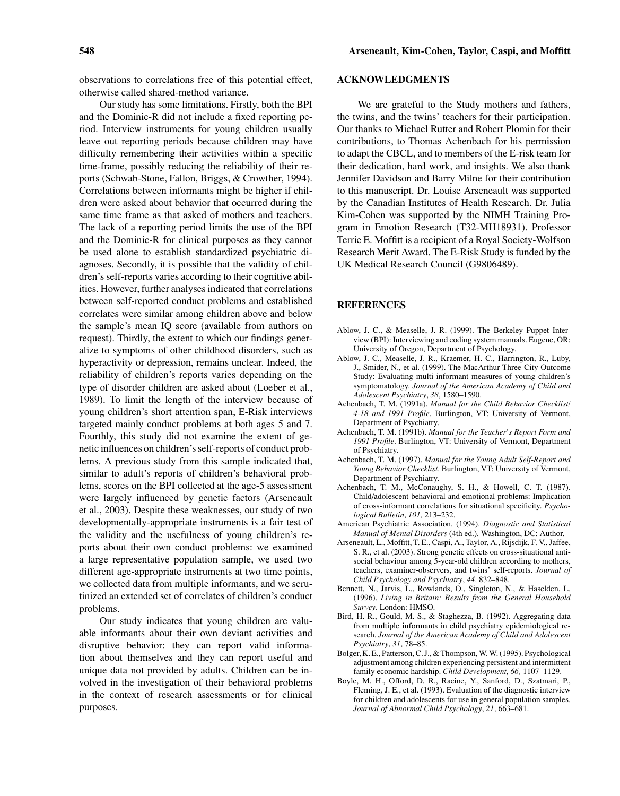observations to correlations free of this potential effect, otherwise called shared-method variance.

Our study has some limitations. Firstly, both the BPI and the Dominic-R did not include a fixed reporting period. Interview instruments for young children usually leave out reporting periods because children may have difficulty remembering their activities within a specific time-frame, possibly reducing the reliability of their reports (Schwab-Stone, Fallon, Briggs, & Crowther, 1994). Correlations between informants might be higher if children were asked about behavior that occurred during the same time frame as that asked of mothers and teachers. The lack of a reporting period limits the use of the BPI and the Dominic-R for clinical purposes as they cannot be used alone to establish standardized psychiatric diagnoses. Secondly, it is possible that the validity of children's self-reports varies according to their cognitive abilities. However, further analyses indicated that correlations between self-reported conduct problems and established correlates were similar among children above and below the sample's mean IQ score (available from authors on request). Thirdly, the extent to which our findings generalize to symptoms of other childhood disorders, such as hyperactivity or depression, remains unclear. Indeed, the reliability of children's reports varies depending on the type of disorder children are asked about (Loeber et al., 1989). To limit the length of the interview because of young children's short attention span, E-Risk interviews targeted mainly conduct problems at both ages 5 and 7. Fourthly, this study did not examine the extent of genetic influences on children's self-reports of conduct problems. A previous study from this sample indicated that, similar to adult's reports of children's behavioral problems, scores on the BPI collected at the age-5 assessment were largely influenced by genetic factors (Arseneault et al., 2003). Despite these weaknesses, our study of two developmentally-appropriate instruments is a fair test of the validity and the usefulness of young children's reports about their own conduct problems: we examined a large representative population sample, we used two different age-appropriate instruments at two time points, we collected data from multiple informants, and we scrutinized an extended set of correlates of children's conduct problems.

Our study indicates that young children are valuable informants about their own deviant activities and disruptive behavior: they can report valid information about themselves and they can report useful and unique data not provided by adults. Children can be involved in the investigation of their behavioral problems in the context of research assessments or for clinical purposes.

#### **ACKNOWLEDGMENTS**

We are grateful to the Study mothers and fathers, the twins, and the twins' teachers for their participation. Our thanks to Michael Rutter and Robert Plomin for their contributions, to Thomas Achenbach for his permission to adapt the CBCL, and to members of the E-risk team for their dedication, hard work, and insights. We also thank Jennifer Davidson and Barry Milne for their contribution to this manuscript. Dr. Louise Arseneault was supported by the Canadian Institutes of Health Research. Dr. Julia Kim-Cohen was supported by the NIMH Training Program in Emotion Research (T32-MH18931). Professor Terrie E. Moffitt is a recipient of a Royal Society-Wolfson Research Merit Award. The E-Risk Study is funded by the UK Medical Research Council (G9806489).

### **REFERENCES**

- Ablow, J. C., & Measelle, J. R. (1999). The Berkeley Puppet Interview (BPI): Interviewing and coding system manuals. Eugene, OR: University of Oregon, Department of Psychology.
- Ablow, J. C., Measelle, J. R., Kraemer, H. C., Harrington, R., Luby, J., Smider, N., et al. (1999). The MacArthur Three-City Outcome Study: Evaluating multi-informant measures of young children's symptomatology. *Journal of the American Academy of Child and Adolescent Psychiatry*, *38,* 1580–1590.
- Achenbach, T. M. (1991a). *Manual for the Child Behavior Checklist/ 4-18 and 1991 Profile*. Burlington, VT: University of Vermont, Department of Psychiatry.
- Achenbach, T. M. (1991b). *Manual for the Teacher's Report Form and 1991 Profile*. Burlington, VT: University of Vermont, Department of Psychiatry.
- Achenbach, T. M. (1997). *Manual for the Young Adult Self-Report and Young Behavior Checklist*. Burlington, VT: University of Vermont, Department of Psychiatry.
- Achenbach, T. M., McConaughy, S. H., & Howell, C. T. (1987). Child/adolescent behavioral and emotional problems: Implication of cross-informant correlations for situational specificity. *Psychological Bulletin*, *101,* 213–232.
- American Psychiatric Association. (1994). *Diagnostic and Statistical Manual of Mental Disorders* (4th ed.). Washington, DC: Author.
- Arseneault, L., Moffitt, T. E., Caspi, A., Taylor, A., Rijsdijk, F. V., Jaffee, S. R., et al. (2003). Strong genetic effects on cross-situational antisocial behaviour among 5-year-old children according to mothers, teachers, examiner-observers, and twins' self-reports. *Journal of Child Psychology and Psychiatry*, *44,* 832–848.
- Bennett, N., Jarvis, L., Rowlands, O., Singleton, N., & Haselden, L. (1996). *Living in Britain: Results from the General Household Survey*. London: HMSO.
- Bird, H. R., Gould, M. S., & Staghezza, B. (1992). Aggregating data from multiple informants in child psychiatry epidemiological research. *Journal of the American Academy of Child and Adolescent Psychiatry*, *31,* 78–85.
- Bolger, K. E., Patterson, C. J., & Thompson, W. W. (1995). Psychological adjustment among children experiencing persistent and intermittent family economic hardship. *Child Development*, *66,* 1107–1129.
- Boyle, M. H., Offord, D. R., Racine, Y., Sanford, D., Szatmari, P., Fleming, J. E., et al. (1993). Evaluation of the diagnostic interview for children and adolescents for use in general population samples. *Journal of Abnormal Child Psychology*, *21,* 663–681.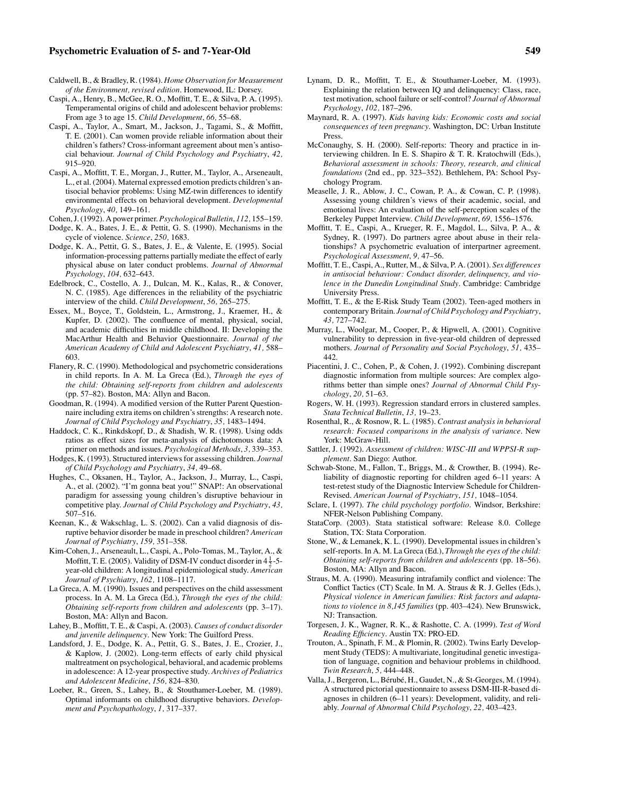- Caldwell, B., & Bradley, R. (1984). *Home Observation for Measurement of the Environment, revised edition*. Homewood, IL: Dorsey.
- Caspi, A., Henry, B., McGee, R. O., Moffitt, T. E., & Silva, P. A. (1995). Temperamental origins of child and adolescent behavior problems: From age 3 to age 15. *Child Development*, *66,* 55–68.
- Caspi, A., Taylor, A., Smart, M., Jackson, J., Tagami, S., & Moffitt, T. E. (2001). Can women provide reliable information about their children's fathers? Cross-informant agreement about men's antisocial behaviour. *Journal of Child Psychology and Psychiatry*, *42,* 915–920.
- Caspi, A., Moffitt, T. E., Morgan, J., Rutter, M., Taylor, A., Arseneault, L., et al. (2004). Maternal expressed emotion predicts children's antisocial behavior problems: Using MZ-twin differences to identify environmental effects on behavioral development. *Developmental Psychology*, *40,* 149–161.
- Cohen, J. (1992). A power primer. *Psychological Bulletin*, *112,* 155–159.
- Dodge, K. A., Bates, J. E., & Pettit, G. S. (1990). Mechanisms in the cycle of violence. *Science*, *250,* 1683.
- Dodge, K. A., Pettit, G. S., Bates, J. E., & Valente, E. (1995). Social information-processing patterns partially mediate the effect of early physical abuse on later conduct problems. *Journal of Abnormal Psychology*, *104,* 632–643.
- Edelbrock, C., Costello, A. J., Dulcan, M. K., Kalas, R., & Conover, N. C. (1985). Age differences in the reliability of the psychiatric interview of the child. *Child Development*, *56,* 265–275.
- Essex, M., Boyce, T., Goldstein, L., Armstrong, J., Kraemer, H., & Kupfer, D. (2002). The confluence of mental, physical, social, and academic difficulties in middle childhood. II: Developing the MacArthur Health and Behavior Questionnaire. *Journal of the American Academy of Child and Adolescent Psychiatry*, *41,* 588– 603.
- Flanery, R. C. (1990). Methodological and psychometric considerations in child reports. In A. M. La Greca (Ed.), *Through the eyes of the child: Obtaining self-reports from children and adolescents* (pp. 57–82). Boston, MA: Allyn and Bacon.
- Goodman, R. (1994). A modified version of the Rutter Parent Questionnaire including extra items on children's strengths: A research note. *Journal of Child Psychology and Psychiatry*, *35,* 1483–1494.
- Haddock, C. K., Rinkdskopf, D., & Shadish, W. R. (1998). Using odds ratios as effect sizes for meta-analysis of dichotomous data: A primer on methods and issues. *Psychological Methods*, *3,* 339–353.
- Hodges, K. (1993). Structured interviews for assessing children. *Journal of Child Psychology and Psychiatry*, *34,* 49–68.
- Hughes, C., Oksanen, H., Taylor, A., Jackson, J., Murray, L., Caspi, A., et al. (2002). "I'm gonna beat you!" SNAP!: An observational paradigm for assessing young children's disruptive behaviour in competitive play. *Journal of Child Psychology and Psychiatry*, *43,* 507–516.
- Keenan, K., & Wakschlag, L. S. (2002). Can a valid diagnosis of disruptive behavior disorder be made in preschool children? *American Journal of Psychiatry*, *159,* 351–358.
- Kim-Cohen, J., Arseneault, L., Caspi, A., Polo-Tomas, M., Taylor, A., & Moffitt, T. E. (2005). Validity of DSM-IV conduct disorder in  $4\frac{1}{2}$ -5year-old children: A longitudinal epidemiological study. *American Journal of Psychiatry*, *162,* 1108–1117.
- La Greca, A. M. (1990). Issues and perspectives on the child assessment process. In A. M. La Greca (Ed.), *Through the eyes of the child: Obtaining self-reports from children and adolescents* (pp. 3–17). Boston, MA: Allyn and Bacon.
- Lahey, B., Moffitt, T. E., & Caspi, A. (2003). *Causes of conduct disorder and juvenile delinquency*. New York: The Guilford Press.
- Landsford, J. E., Dodge, K. A., Pettit, G. S., Bates, J. E., Crozier, J., & Kaplow, J. (2002). Long-term effects of early child physical maltreatment on psychological, behavioral, and academic problems in adolescence: A 12-year prospective study. *Archives of Pediatrics and Adolescent Medicine*, *156,* 824–830.
- Loeber, R., Green, S., Lahey, B., & Stouthamer-Loeber, M. (1989). Optimal informants on childhood disruptive behaviors. *Development and Psychopathology*, *1,* 317–337.
- Lynam, D. R., Moffitt, T. E., & Stouthamer-Loeber, M. (1993). Explaining the relation between IQ and delinquency: Class, race, test motivation, school failure or self-control? *Journal of Abnormal Psychology*, *102,* 187–296.
- Maynard, R. A. (1997). *Kids having kids: Economic costs and social consequences of teen pregnancy*. Washington, DC: Urban Institute Press.
- McConaughy, S. H. (2000). Self-reports: Theory and practice in interviewing children. In E. S. Shapiro & T. R. Kratochwill (Eds.), *Behavioral assessment in schools: Theory, research, and clinical foundations* (2nd ed., pp. 323–352). Bethlehem, PA: School Psychology Program.
- Measelle, J. R., Ablow, J. C., Cowan, P. A., & Cowan, C. P. (1998). Assessing young children's views of their academic, social, and emotional lives: An evaluation of the self-perception scales of the Berkeley Puppet Interview. *Child Development*, *69,* 1556–1576.
- Moffitt, T. E., Caspi, A., Krueger, R. F., Magdol, L., Silva, P. A., & Sydney, R. (1997). Do partners agree about abuse in their relationships? A psychometric evaluation of interpartner agreement. *Psychological Assessment*, *9,* 47–56.
- Moffitt, T. E., Caspi, A., Rutter, M., & Silva, P. A. (2001). *Sex differences in antisocial behaviour: Conduct disorder, delinquency, and violence in the Dunedin Longitudinal Study*. Cambridge: Cambridge University Press.
- Moffitt, T. E., & the E-Risk Study Team (2002). Teen-aged mothers in contemporary Britain. *Journal of Child Psychology and Psychiatry*, *43,* 727–742.
- Murray, L., Woolgar, M., Cooper, P., & Hipwell, A. (2001). Cognitive vulnerability to depression in five-year-old children of depressed mothers. *Journal of Personality and Social Psychology*, *51,* 435– 442.
- Piacentini, J. C., Cohen, P., & Cohen, J. (1992). Combining discrepant diagnostic information from multiple sources: Are complex algorithms better than simple ones? *Journal of Abnormal Child Psychology*, *20,* 51–63.
- Rogers, W. H. (1993). Regression standard errors in clustered samples. *Stata Technical Bulletin*, *13,* 19–23.
- Rosenthal, R., & Rosnow, R. L. (1985). *Contrast analysis in behavioral research: Focused comparisons in the analysis of variance*. New York: McGraw-Hill.
- Sattler, J. (1992). *Assessment of children: WISC-III and WPPSI-R supplement*. San Diego: Author.
- Schwab-Stone, M., Fallon, T., Briggs, M., & Crowther, B. (1994). Reliability of diagnostic reporting for children aged 6–11 years: A test-retest study of the Diagnostic Interview Schedule for Children-Revised. *American Journal of Psychiatry*, *151,* 1048–1054.
- Sclare, I. (1997). *The child psychology portfolio*. Windsor, Berkshire: NFER-Nelson Publishing Company.
- StataCorp. (2003). Stata statistical software: Release 8.0. College Station, TX: Stata Corporation.
- Stone, W., & Lemanek, K. L. (1990). Developmental issues in children's self-reports. In A. M. La Greca (Ed.), *Through the eyes of the child: Obtaining self-reports from children and adolescents* (pp. 18–56). Boston, MA: Allyn and Bacon.
- Straus, M. A. (1990). Measuring intrafamily conflict and violence: The Conflict Tactics (CT) Scale. In M. A. Straus & R. J. Gelles (Eds.), *Physical violence in American families: Risk factors and adaptations to violence in 8,145 families* (pp. 403–424). New Brunswick, NJ: Transaction.
- Torgesen, J. K., Wagner, R. K., & Rashotte, C. A. (1999). *Test of Word Reading Efficiency*. Austin TX: PRO-ED.
- Trouton, A., Spinath, F. M., & Plomin, R. (2002). Twins Early Development Study (TEDS): A multivariate, longitudinal genetic investigation of language, cognition and behaviour problems in childhood. *Twin Research*, *5,* 444–448.
- Valla, J., Bergeron, L., Bérubé, H., Gaudet, N., & St-Georges, M. (1994). A structured pictorial questionnaire to assess DSM-III-R-based diagnoses in children (6–11 years): Development, validity, and reliably. *Journal of Abnormal Child Psychology*, *22,* 403–423.